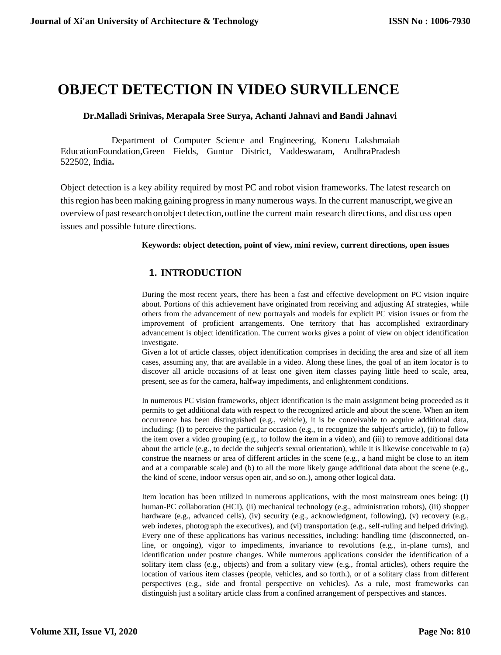# **OBJECT DETECTION IN VIDEO SURVILLENCE**

#### **Dr.Malladi Srinivas, Merapala Sree Surya, Achanti Jahnavi and Bandi Jahnavi**

Department of Computer Science and Engineering, Koneru Lakshmaiah EducationFoundation,Green Fields, Guntur District, Vaddeswaram, AndhraPradesh 522502, India**.**

Object detection is a key ability required by most PC and robot vision frameworks. The latest research on thisregion has been making gaining progressin many numerous ways. In the current manuscript,we give an overviewof pastresearch onobject detection,outline the current main research directions, and discuss open issues and possible future directions.

#### **Keywords: object detection, point of view, mini review, current directions, open issues**

# **1. INTRODUCTION**

During the most recent years, there has been a fast and effective development on PC vision inquire about. Portions of this achievement have originated from receiving and adjusting AI strategies, while others from the advancement of new portrayals and models for explicit PC vision issues or from the improvement of proficient arrangements. One territory that has accomplished extraordinary advancement is object identification. The current works gives a point of view on object identification investigate.

Given a lot of article classes, object identification comprises in deciding the area and size of all item cases, assuming any, that are available in a video. Along these lines, the goal of an item locator is to discover all article occasions of at least one given item classes paying little heed to scale, area, present, see as for the camera, halfway impediments, and enlightenment conditions.

In numerous PC vision frameworks, object identification is the main assignment being proceeded as it permits to get additional data with respect to the recognized article and about the scene. When an item occurrence has been distinguished (e.g., vehicle), it is be conceivable to acquire additional data, including: (I) to perceive the particular occasion (e.g., to recognize the subject's article), (ii) to follow the item over a video grouping (e.g., to follow the item in a video), and (iii) to remove additional data about the article (e.g., to decide the subject's sexual orientation), while it is likewise conceivable to (a) construe the nearness or area of different articles in the scene (e.g., a hand might be close to an item and at a comparable scale) and (b) to all the more likely gauge additional data about the scene (e.g., the kind of scene, indoor versus open air, and so on.), among other logical data.

Item location has been utilized in numerous applications, with the most mainstream ones being: (I) human-PC collaboration (HCI), (ii) mechanical technology (e.g., administration robots), (iii) shopper hardware (e.g., advanced cells), (iv) security (e.g., acknowledgment, following), (v) recovery (e.g., web indexes, photograph the executives), and (vi) transportation (e.g., self-ruling and helped driving). Every one of these applications has various necessities, including: handling time (disconnected, online, or ongoing), vigor to impediments, invariance to revolutions (e.g., in-plane turns), and identification under posture changes. While numerous applications consider the identification of a solitary item class (e.g., objects) and from a solitary view (e.g., frontal articles), others require the location of various item classes (people, vehicles, and so forth.), or of a solitary class from different perspectives (e.g., side and frontal perspective on vehicles). As a rule, most frameworks can distinguish just a solitary article class from a confined arrangement of perspectives and stances.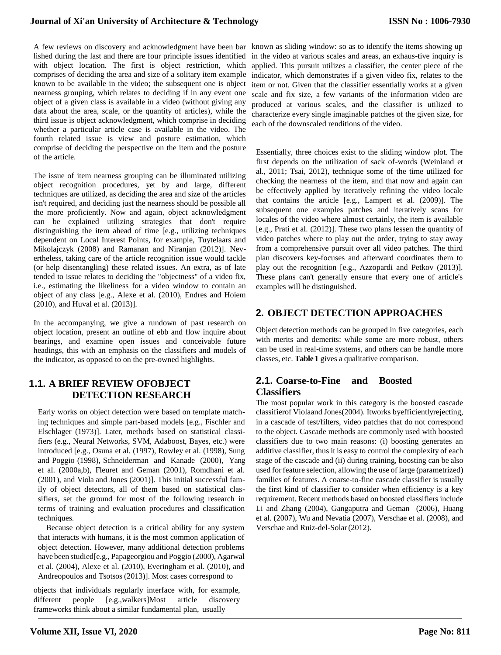#### **Journal of Xi'an University of Architecture & Technology**

A few reviews on discovery and acknowledgment have been bar known as sliding window: so as to identify the items showing up lished during the last and there are four principle issues identified with object location. The first is object restriction, which comprises of deciding the area and size of a solitary item example known to be available in the video; the subsequent one is object nearness grouping, which relates to deciding if in any event one object of a given class is available in a video (without giving any data about the area, scale, or the quantity of articles), while the third issue is object acknowledgment, which comprise in deciding whether a particular article case is available in the video. The fourth related issue is view and posture estimation, which comprise of deciding the perspective on the item and the posture of the article.

The issue of item nearness grouping can be illuminated utilizing object recognition procedures, yet by and large, different techniques are utilized, as deciding the area and size of the articles isn't required, and deciding just the nearness should be possible all the more proficiently. Now and again, object acknowledgment can be explained utilizing strategies that don't require distinguishing the item ahead of time [e.g., utilizing techniques dependent on Local Interest Points, for example, Tuytelaars and Mikolajczyk (2008) and Ramanan and Niranjan (2012)]. Nevertheless, taking care of the article recognition issue would tackle (or help disentangling) these related issues. An extra, as of late tended to issue relates to deciding the "objectness" of a video fix, i.e., estimating the likeliness for a video window to contain an object of any class [e.g., Alexe et al. (2010), Endres and Hoiem (2010), and Huval et al. (2013)].

In the accompanying, we give a rundown of past research on object location, present an outline of ebb and flow inquire about bearings, and examine open issues and conceivable future headings, this with an emphasis on the classifiers and models of the indicator, as opposed to on the pre-owned highlights.

# **1.1. A BRIEF REVIEW OFOBJECT DETECTION RESEARCH**

Early works on object detection were based on template matching techniques and simple part-based models [e.g., Fischler and Elschlager (1973)]. Later, methods based on statistical classifiers (e.g., Neural Networks, SVM, Adaboost, Bayes, etc.) were introduced [e.g., Osuna et al. (1997), Rowley et al. (1998), Sung and Poggio (1998), Schneiderman and Kanade (2000), Yang et al. (2000a,b), Fleuret and Geman (2001), Romdhani et al. (2001), and Viola and Jones (2001)]. This initial successful family of object detectors, all of them based on statistical classifiers, set the ground for most of the following research in terms of training and evaluation procedures and classification techniques.

Because object detection is a critical ability for any system that interacts with humans, it is the most common application of object detection. However, many additional detection problems have been studied[e.g., Papageorgiou and Poggio (2000), Agarwal et al. (2004), Alexe et al. (2010), Everingham et al. (2010), and Andreopoulos and Tsotsos (2013)]. Most cases correspond to

objects that individuals regularly interface with, for example, different people [e.g.,walkers]Most article discovery frameworks think about a similar fundamental plan, usually

in the video at various scales and areas, an exhaus-tive inquiry is applied. This pursuit utilizes a classifier, the center piece of the indicator, which demonstrates if a given video fix, relates to the item or not. Given that the classifier essentially works at a given scale and fix size, a few variants of the information video are produced at various scales, and the classifier is utilized to characterize every single imaginable patches of the given size, for each of the downscaled renditions of the video.

Essentially, three choices exist to the sliding window plot. The first depends on the utilization of sack of-words (Weinland et al., 2011; Tsai, 2012), technique some of the time utilized for checking the nearness of the item, and that now and again can be effectively applied by iteratively refining the video locale that contains the article [e.g., Lampert et al. (2009)]. The subsequent one examples patches and iteratively scans for locales of the video where almost certainly, the item is available [e.g., Prati et al. (2012)]. These two plans lessen the quantity of video patches where to play out the order, trying to stay away from a comprehensive pursuit over all video patches. The third plan discovers key-focuses and afterward coordinates them to play out the recognition [e.g., Azzopardi and Petkov (2013)]. These plans can't generally ensure that every one of article's examples will be distinguished.

# **2. OBJECT DETECTION APPROACHES**

Object detection methods can be grouped in five categories, each with merits and demerits: while some are more robust, others can be used in real-time systems, and others can be handle more classes, etc. **[Table](#page-2-0) 1** gives a qualitative comparison.

# **2.1. Coarse-to-Fine and Boosted Classifiers**

The most popular work in this category is the boosted cascade classifierof Violaand Jones(2004). Itworks byefficientlyrejecting, in a cascade of test/filters, video patches that do not correspond to the object. Cascade methods are commonly used with boosted classifiers due to two main reasons: (i) boosting generates an additive classifier, thus it is easy to control the complexity of each stage of the cascade and (ii) during training, boosting can be also used for feature selection, allowing the use of large (parametrized) families of features. A coarse-to-fine cascade classifier is usually the first kind of classifier to consider when efficiency is a key requirement. Recent methods based on boosted classifiers include Li and Zhang (2004), Gangaputra and Geman (2006), Huang et al. (2007), Wu and Nevatia (2007), Verschae et al. (2008), and Verschae and Ruiz-del-Solar(2012).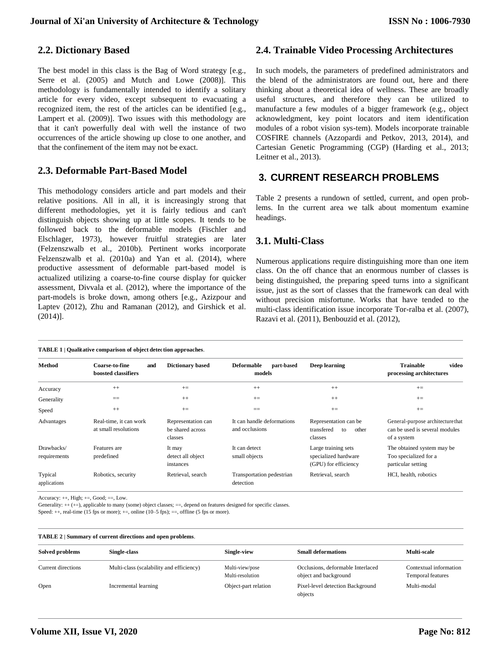#### **Journal of Xi'an University of Architecture & Technology**

#### **2.2. Dictionary Based**

The best model in this class is the Bag of Word strategy [e.g., Serre et al. (2005) and Mutch and Lowe (2008)]. This methodology is fundamentally intended to identify a solitary article for every video, except subsequent to evacuating a recognized item, the rest of the articles can be identified [e.g., Lampert et al. (2009)]. Two issues with this methodology are that it can't powerfully deal with well the instance of two occurrences of the article showing up close to one another, and that the confinement of the item may not be exact.

### **2.3. Deformable Part-Based Model**

This methodology considers article and part models and their relative positions. All in all, it is increasingly strong that different methodologies, yet it is fairly tedious and can't distinguish objects showing up at little scopes. It tends to be followed back to the deformable models (Fischler and Elschlager, 1973), however fruitful strategies are later (Felzenszwalb et al., 2010b). Pertinent works incorporate Felzenszwalb et al. (2010a) and Yan et al. (2014), where productive assessment of deformable part-based model is actualized utilizing a coarse-to-fine course display for quicker assessment, Divvala et al. (2012), where the importance of the part-models is broke down, among others [e.g., Azizpour and Laptev (2012), Zhu and Ramanan (2012), and Girshick et al. (2014)].

### **2.4. Trainable Video Processing Architectures**

In such models, the parameters of predefined administrators and the blend of the administrators are found out, here and there thinking about a theoretical idea of wellness. These are broadly useful structures, and therefore they can be utilized to manufacture a few modules of a bigger framework (e.g., object acknowledgment, key point locators and item identification modules of a robot vision sys-tem). Models incorporate trainable COSFIRE channels (Azzopardi and Petkov, 2013, 2014), and Cartesian Genetic Programming (CGP) (Harding et al., 2013; Leitner et al., 2013).

# **3. CURRENT RESEARCH PROBLEMS**

Table 2 presents a rundown of settled, current, and open problems. In the current area we talk about momentum examine headings.

# **3.1. Multi-Class**

Numerous applications require distinguishing more than one item class. On the off chance that an enormous number of classes is being distinguished, the preparing speed turns into a significant issue, just as the sort of classes that the framework can deal with without precision misfortune. Works that have tended to the multi-class identification issue incorporate Tor-ralba et al. (2007), Razavi et al. (2011), Benbouzid et al. (2012),

<span id="page-2-0"></span>

| <b>TABLE 1   Qualitative comparison of object detection approaches.</b> |                                                     |                                                   |                                              |                                                                     |                                                                                    |  |  |
|-------------------------------------------------------------------------|-----------------------------------------------------|---------------------------------------------------|----------------------------------------------|---------------------------------------------------------------------|------------------------------------------------------------------------------------|--|--|
| <b>Method</b>                                                           | <b>Coarse-to-fine</b><br>and<br>boosted classifiers | <b>Dictionary based</b>                           | <b>Deformable</b><br>part-based<br>models    | <b>Deep learning</b>                                                | video<br><b>Trainable</b><br>processing architectures                              |  |  |
| Accuracy                                                                | $++$                                                | $+=$                                              | $++$                                         | $++$                                                                | $+=$                                                                               |  |  |
| Generality                                                              | $==$                                                | $++$                                              | $+=$                                         | $++$                                                                | $+=$                                                                               |  |  |
| Speed                                                                   | $++$                                                | $+=$                                              | $==$                                         | $+=$                                                                | $+ =$                                                                              |  |  |
| Advantages                                                              | Real-time, it can work<br>at small resolutions      | Representation can<br>be shared across<br>classes | It can handle deformations<br>and occlusions | Representation can be<br>transfered<br>other<br>to<br>classes       | General-purpose architecture that<br>can be used is several modules<br>of a system |  |  |
| Drawbacks/<br>requirements                                              | Features are<br>predefined                          | It may<br>detect all object<br>instances          | It can detect<br>small objects               | Large training sets<br>specialized hardware<br>(GPU) for efficiency | The obtained system may be.<br>Too specialized for a<br>particular setting         |  |  |
| Typical<br>applications                                                 | Robotics, security                                  | Retrieval, search                                 | Transportation pedestrian<br>detection       | Retrieval, search                                                   | HCI, health, robotics                                                              |  |  |

Accuracy:  $++$ , High;  $+=$ , Good;  $==$ , Low.

Generality:  $++$   $(+-)$ , applicable to many (some) object classes;  $==$ , depend on features designed for specific classes. Speed: ++, real-time (15 fps or more); +=, online (10-5 fps); ==, offline (5 fps or more).

| TABLE 2   Summary of current directions and open problems. |  |
|------------------------------------------------------------|--|
|------------------------------------------------------------|--|

| Solved problems    | Single-class                             | Single-view                         | <b>Small deformations</b>                                  | Multi-scale                                 |
|--------------------|------------------------------------------|-------------------------------------|------------------------------------------------------------|---------------------------------------------|
| Current directions | Multi-class (scalability and efficiency) | Multi-view/pose<br>Multi-resolution | Occlusions, deformable Interlaced<br>object and background | Contextual information<br>Temporal features |
| Open               | Incremental learning                     | Object-part relation                | Pixel-level detection Background<br>objects                | Multi-modal                                 |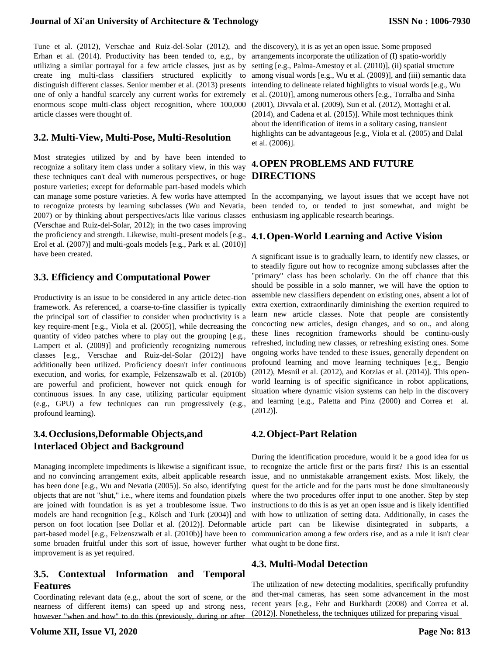#### **Journal of Xi'an University of Architecture & Technology**

Tune et al. (2012), Verschae and Ruiz-del-Solar (2012), and the discovery), it is as yet an open issue. Some proposed Erhan et al. (2014). Productivity has been tended to, e.g., by utilizing a similar portrayal for a few article classes, just as by create ing multi-class classifiers structured explicitly to distinguish different classes. Senior member et al. (2013) presents one of only a handful scarcely any current works for extremely enormous scope multi-class object recognition, where 100,000 article classes were thought of.

### **3.2. Multi-View, Multi-Pose, Multi-Resolution**

Most strategies utilized by and by have been intended to recognize a solitary item class under a solitary view, in this way these techniques can't deal with numerous perspectives, or huge posture varieties; except for deformable part-based models which can manage some posture varieties. A few works have attempted to recognize protests by learning subclasses (Wu and Nevatia, 2007) or by thinking about perspectives/acts like various classes (Verschae and Ruiz-del-Solar, 2012); in the two cases improving the proficiency and strength. Likewise, multi-present models [e.g., Erol et al. (2007)] and multi-goals models [e.g., Park et al. (2010)] have been created.

# **3.3. Efficiency and Computational Power**

Productivity is an issue to be considered in any article detec-tion framework. As referenced, a coarse-to-fine classifier is typically the principal sort of classifier to consider when productivity is a key require-ment [e.g., Viola et al. (2005)], while decreasing the quantity of video patches where to play out the grouping [e.g., Lampert et al. (2009)] and proficiently recognizing numerous classes [e.g., Verschae and Ruiz-del-Solar (2012)] have additionally been utilized. Proficiency doesn't infer continuous execution, and works, for example, Felzenszwalb et al. (2010b) are powerful and proficient, however not quick enough for continuous issues. In any case, utilizing particular equipment (e.g., GPU) a few techniques can run progressively (e.g., profound learning).

# **3.4.Occlusions,Deformable Objects,and Interlaced Object and Background**

Managing incomplete impediments is likewise a significant issue, and no convincing arrangement exits, albeit applicable research objects that are not "shut," i.e., where items and foundation pixels are joined with foundation is as yet a troublesome issue. Two models are hand recognition [e.g., Kölsch and Turk (2004)] and some broaden fruitful under this sort of issue, however further what ought to be done first. improvement is as yet required.

# **3.5. Contextual Information and Temporal Features**

Coordinating relevant data (e.g., about the sort of scene, or the nearness of different items) can speed up and strong ness, however "when and how" to do this (previously, during or after

arrangements incorporate the utilization of (I) spatio-worldly setting [e.g., Palma-Amestoy et al. (2010)], (ii) spatial structure among visual words [e.g., Wu et al. (2009)], and (iii) semantic data intending to delineate related highlights to visual words [e.g., Wu et al. (2010)], among numerous others [e.g., Torralba and Sinha (2001), Divvala et al. (2009), Sun et al. (2012), Mottaghi et al. (2014), and Cadena et al. (2015)]. While most techniques think about the identification of items in a solitary casing, transient highlights can be advantageous [e.g., Viola et al. (2005) and Dalal et al. (2006)].

# **4.OPEN PROBLEMS AND FUTURE DIRECTIONS**

In the accompanying, we layout issues that we accept have not been tended to, or tended to just somewhat, and might be enthusiasm ing applicable research bearings.

### **4.1.Open-World Learning and Active Vision**

A significant issue is to gradually learn, to identify new classes, or to steadily figure out how to recognize among subclasses after the "primary" class has been scholarly. On the off chance that this should be possible in a solo manner, we will have the option to assemble new classifiers dependent on existing ones, absent a lot of extra exertion, extraordinarily diminishing the exertion required to learn new article classes. Note that people are consistently concocting new articles, design changes, and so on., and along these lines recognition frameworks should be continu-ously refreshed, including new classes, or refreshing existing ones. Some ongoing works have tended to these issues, generally dependent on profound learning and move learning techniques [e.g., Bengio (2012), Mesnil et al. (2012), and Kotzias et al. (2014)]. This openworld learning is of specific significance in robot applications, situation where dynamic vision systems can help in the discovery and learning [e.g., Paletta and Pinz (2000) and Correa et al. (2012)].

### **4.2.Object-Part Relation**

has been done [e.g., Wu and Nevatia (2005)]. So also, identifying quest for the article and for the parts must be done simultaneously person on foot location [see Dollar et al. (2012)]. Deformable article part can be likewise disintegrated in subparts, a part-based model [e.g., Felzenszwalb et al. (2010b)] have been to communication among a few orders rise, and as a rule it isn't clear During the identification procedure, would it be a good idea for us to recognize the article first or the parts first? This is an essential issue, and no unmistakable arrangement exists. Most likely, the where the two procedures offer input to one another. Step by step instructions to do this is as yet an open issue and is likely identified with how to utilization of setting data. Additionally, in cases the

### **4.3. Multi-Modal Detection**

The utilization of new detecting modalities, specifically profundity and ther-mal cameras, has seen some advancement in the most recent years [e.g., Fehr and Burkhardt (2008) and Correa et al. (2012)]. Nonetheless, the techniques utilized for preparing visual